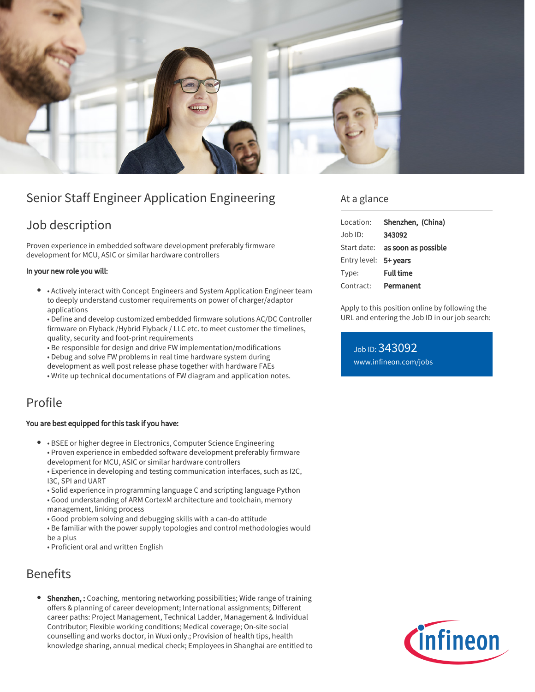

# Senior Staff Engineer Application Engineering

## Job description

Proven experience in embedded software development preferably firmware development for MCU, ASIC or similar hardware controllers

#### In your new role you will:

• Actively interact with Concept Engineers and System Application Engineer team to deeply understand customer requirements on power of charger/adaptor applications

• Define and develop customized embedded firmware solutions AC/DC Controller firmware on Flyback /Hybrid Flyback / LLC etc. to meet customer the timelines, quality, security and foot-print requirements

- Be responsible for design and drive FW implementation/modifications
- Debug and solve FW problems in real time hardware system during
- development as well post release phase together with hardware FAEs
- Write up technical documentations of FW diagram and application notes.

### Profile

#### You are best equipped for this task if you have:

- BSEE or higher degree in Electronics, Computer Science Engineering
	- Proven experience in embedded software development preferably firmware development for MCU, ASIC or similar hardware controllers

• Experience in developing and testing communication interfaces, such as I2C, I3C, SPI and UART

- Solid experience in programming language C and scripting language Python
- Good understanding of ARM CortexM architecture and toolchain, memory management, linking process
- Good problem solving and debugging skills with a can-do attitude
- Be familiar with the power supply topologies and control methodologies would be a plus
- Proficient oral and written English

### Benefits

Shenzhen, : Coaching, mentoring networking possibilities; Wide range of training offers & planning of career development; International assignments; Different career paths: Project Management, Technical Ladder, Management & Individual Contributor; Flexible working conditions; Medical coverage; On-site social counselling and works doctor, in Wuxi only.; Provision of health tips, health knowledge sharing, annual medical check; Employees in Shanghai are entitled to

### At a glance

| Location:             | Shenzhen, (China)                      |
|-----------------------|----------------------------------------|
| Job ID:               | 343092                                 |
|                       | Start date: <b>as soon as possible</b> |
| Entry level: 5+ years |                                        |
| Type:                 | <b>Full time</b>                       |
| Contract:             | Permanent                              |

Apply to this position online by following the URL and entering the Job ID in our job search:

Job ID: 343092 [www.infineon.com/jobs](https://www.infineon.com/jobs)